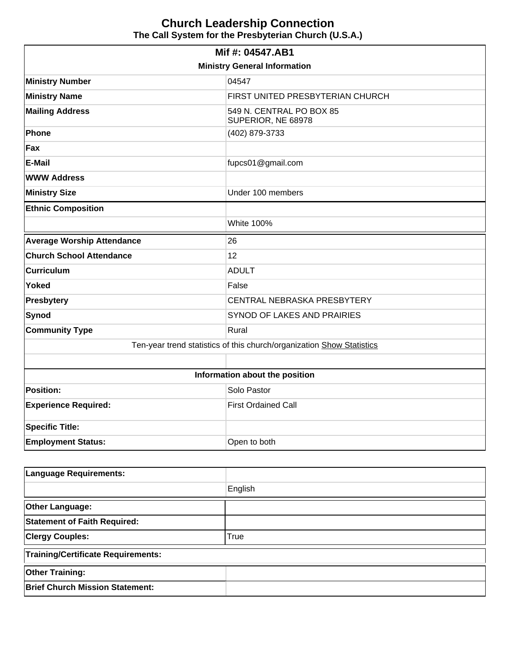# **Church Leadership Connection The Call System for the Presbyterian Church (U.S.A.)**

| Mif #: 04547.AB1                                                      |                                                |  |  |  |
|-----------------------------------------------------------------------|------------------------------------------------|--|--|--|
| <b>Ministry General Information</b>                                   |                                                |  |  |  |
| <b>Ministry Number</b>                                                | 04547                                          |  |  |  |
| <b>Ministry Name</b>                                                  | FIRST UNITED PRESBYTERIAN CHURCH               |  |  |  |
| <b>Mailing Address</b>                                                | 549 N. CENTRAL PO BOX 85<br>SUPERIOR, NE 68978 |  |  |  |
| Phone                                                                 | (402) 879-3733                                 |  |  |  |
| Fax                                                                   |                                                |  |  |  |
| <b>E-Mail</b>                                                         | fupcs01@gmail.com                              |  |  |  |
| <b>WWW Address</b>                                                    |                                                |  |  |  |
| <b>Ministry Size</b>                                                  | Under 100 members                              |  |  |  |
| <b>Ethnic Composition</b>                                             |                                                |  |  |  |
|                                                                       | White 100%                                     |  |  |  |
| <b>Average Worship Attendance</b>                                     | 26                                             |  |  |  |
| <b>Church School Attendance</b>                                       | 12                                             |  |  |  |
| <b>Curriculum</b>                                                     | <b>ADULT</b>                                   |  |  |  |
| <b>Yoked</b>                                                          | False                                          |  |  |  |
| <b>Presbytery</b>                                                     | CENTRAL NEBRASKA PRESBYTERY                    |  |  |  |
| Synod                                                                 | SYNOD OF LAKES AND PRAIRIES                    |  |  |  |
| <b>Community Type</b>                                                 | Rural                                          |  |  |  |
| Ten-year trend statistics of this church/organization Show Statistics |                                                |  |  |  |
|                                                                       |                                                |  |  |  |
|                                                                       | Information about the position                 |  |  |  |
| <b>Position:</b>                                                      | Solo Pastor                                    |  |  |  |
| <b>Experience Required:</b>                                           | <b>First Ordained Call</b>                     |  |  |  |
| <b>Specific Title:</b>                                                |                                                |  |  |  |
| <b>Employment Status:</b>                                             | Open to both                                   |  |  |  |

| Language Requirements:                    |         |  |
|-------------------------------------------|---------|--|
|                                           | English |  |
| <b>Other Language:</b>                    |         |  |
| <b>Statement of Faith Required:</b>       |         |  |
| <b>Clergy Couples:</b>                    | True    |  |
| <b>Training/Certificate Requirements:</b> |         |  |
| <b>Other Training:</b>                    |         |  |
| <b>Brief Church Mission Statement:</b>    |         |  |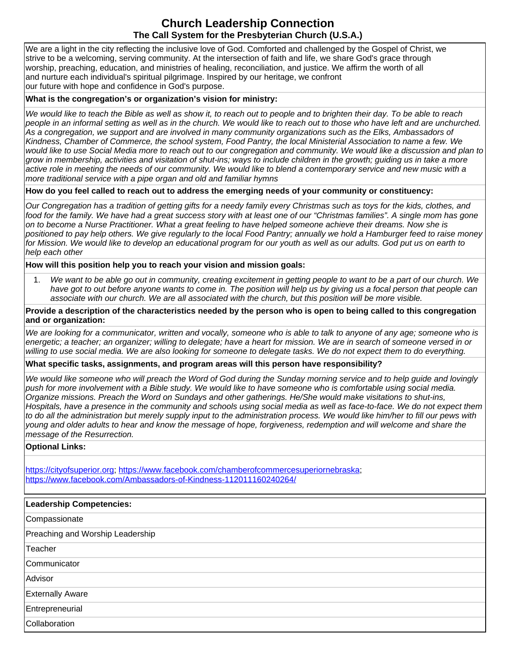# **Church Leadership Connection The Call System for the Presbyterian Church (U.S.A.)**

We are a light in the city reflecting the inclusive love of God. Comforted and challenged by the Gospel of Christ, we strive to be a welcoming, serving community. At the intersection of faith and life, we share God's grace through worship, preaching, education, and ministries of healing, reconciliation, and justice. We affirm the worth of all and nurture each individual's spiritual pilgrimage. Inspired by our heritage, we confront our future with hope and confidence in God's purpose.

### **What is the congregation's or organization's vision for ministry:**

We would like to teach the Bible as well as show it, to reach out to people and to brighten their day. To be able to reach people in an informal setting as well as in the church. We would like to reach out to those who have left and are unchurched. As a congregation, we support and are involved in many community organizations such as the Elks, Ambassadors of Kindness, Chamber of Commerce, the school system, Food Pantry, the local Ministerial Association to name a few. We would like to use Social Media more to reach out to our congregation and community. We would like a discussion and plan to grow in membership, activities and visitation of shut-ins; ways to include children in the growth; guiding us in take a more active role in meeting the needs of our community. We would like to blend a contemporary service and new music with a more traditional service with a pipe organ and old and familiar hymns

**How do you feel called to reach out to address the emerging needs of your community or constituency:** 

Our Congregation has a tradition of getting gifts for a needy family every Christmas such as toys for the kids, clothes, and food for the family. We have had a great success story with at least one of our "Christmas families". A single mom has gone on to become a Nurse Practitioner. What a great feeling to have helped someone achieve their dreams. Now she is positioned to pay help others. We give regularly to the local Food Pantry; annually we hold a Hamburger feed to raise money for Mission. We would like to develop an educational program for our youth as well as our adults. God put us on earth to help each other

### **How will this position help you to reach your vision and mission goals:**

1. We want to be able go out in community, creating excitement in getting people to want to be a part of our church. We have got to out before anyone wants to come in. The position will help us by giving us a focal person that people can associate with our church. We are all associated with the church, but this position will be more visible.

**Provide a description of the characteristics needed by the person who is open to being called to this congregation and or organization:**

We are looking for a communicator, written and vocally, someone who is able to talk to anyone of any age; someone who is energetic; a teacher; an organizer; willing to delegate; have a heart for mission. We are in search of someone versed in or willing to use social media. We are also looking for someone to delegate tasks. We do not expect them to do everything.

#### **What specific tasks, assignments, and program areas will this person have responsibility?**

We would like someone who will preach the Word of God during the Sunday morning service and to help quide and lovingly push for more involvement with a Bible study. We would like to have someone who is comfortable using social media. Organize missions. Preach the Word on Sundays and other gatherings. He/She would make visitations to shut-ins, Hospitals, have a presence in the community and schools using social media as well as face-to-face. We do not expect them to do all the administration but merely supply input to the administration process. We would like him/her to fill our pews with young and older adults to hear and know the message of hope, forgiveness, redemption and will welcome and share the message of the Resurrection.

#### **Optional Links:**

[https://cityofsuperior.org;](https://cityofsuperior.org/) [https://www.facebook.com/chamberofcommercesuperiornebraska;](https://www.facebook.com/chamberofcommercesuperiornebraska) <https://www.facebook.com/Ambassadors-of-Kindness-112011160240264/>

| Leadership Competencies:         |
|----------------------------------|
| Compassionate                    |
| Preaching and Worship Leadership |
| Teacher                          |
| Communicator                     |
| Advisor                          |
| <b>Externally Aware</b>          |
| Entrepreneurial                  |
| Collaboration                    |